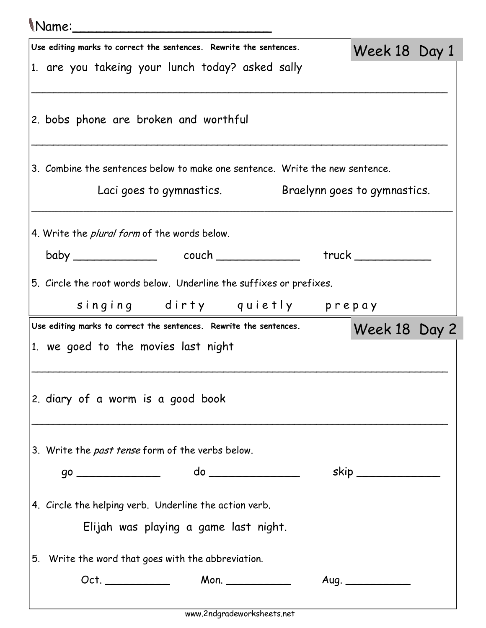## Name:\_\_\_\_\_\_\_\_\_\_\_\_\_\_\_\_\_\_\_\_\_\_\_\_\_

| Use editing marks to correct the sentences. Rewrite the sentences.           | Week 18 Day 1       |  |
|------------------------------------------------------------------------------|---------------------|--|
|                                                                              |                     |  |
| 1. are you takeing your lunch today? asked sally                             |                     |  |
|                                                                              |                     |  |
| 2. bobs phone are broken and worthful                                        |                     |  |
|                                                                              |                     |  |
| 3. Combine the sentences below to make one sentence. Write the new sentence. |                     |  |
| Laci goes to gymnastics. Braelynn goes to gymnastics.                        |                     |  |
| 4. Write the <i>plural form</i> of the words below.                          |                     |  |
|                                                                              | truek               |  |
| 5. Circle the root words below. Underline the suffixes or prefixes.          |                     |  |
| singing dirty quietly prepay                                                 |                     |  |
| Use editing marks to correct the sentences. Rewrite the sentences.           | Week 18 Day 2       |  |
| 1. we goed to the movies last night                                          |                     |  |
|                                                                              |                     |  |
| 2. diary of a worm is a good book                                            |                     |  |
|                                                                              |                     |  |
| 3. Write the <i>past tense</i> form of the verbs below.                      |                     |  |
|                                                                              | skip ______________ |  |
|                                                                              |                     |  |
| 4. Circle the helping verb. Underline the action verb.                       |                     |  |
| Elijah was playing a game last night.                                        |                     |  |
| 5. Write the word that goes with the abbreviation.                           |                     |  |
|                                                                              | Aug.                |  |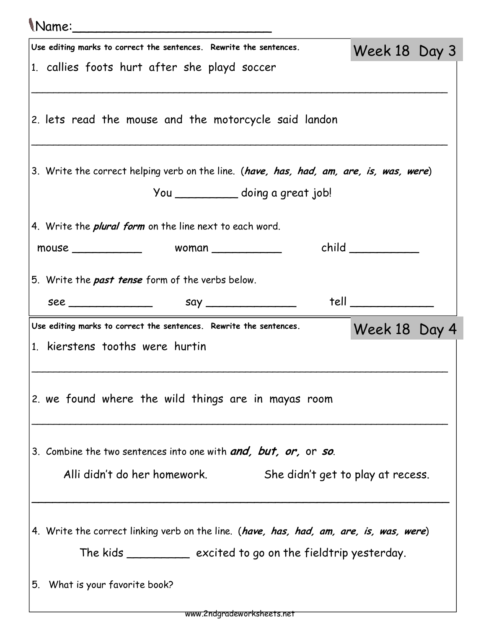| Mame:                                                                                                                                                                                                                           |                      |  |  |  |  |  |  |  |
|---------------------------------------------------------------------------------------------------------------------------------------------------------------------------------------------------------------------------------|----------------------|--|--|--|--|--|--|--|
| Use editing marks to correct the sentences. Rewrite the sentences.                                                                                                                                                              | Week 18 Day 3        |  |  |  |  |  |  |  |
| 1. callies foots hurt after she playd soccer                                                                                                                                                                                    |                      |  |  |  |  |  |  |  |
| 2. lets read the mouse and the motorcycle said landon                                                                                                                                                                           |                      |  |  |  |  |  |  |  |
| 3. Write the correct helping verb on the line. (have, has, had, am, are, is, was, were)                                                                                                                                         |                      |  |  |  |  |  |  |  |
| You _____________ doing a great job!                                                                                                                                                                                            |                      |  |  |  |  |  |  |  |
| 4. Write the <i>plural form</i> on the line next to each word.                                                                                                                                                                  |                      |  |  |  |  |  |  |  |
|                                                                                                                                                                                                                                 |                      |  |  |  |  |  |  |  |
| 5. Write the past tense form of the verbs below.                                                                                                                                                                                |                      |  |  |  |  |  |  |  |
| $see$ See See Sextern Sextern Sextern Sextern Sextern Sextern Sextern Sextern Sextern Sextern Sextern Sextern Sextern Sextern Sextern Sextern Sextern Sextern Sextern Sextern Sextern Sextern Sextern Sextern Sextern Sextern S | $tell$ _____________ |  |  |  |  |  |  |  |
| Use editing marks to correct the sentences. Rewrite the sentences.                                                                                                                                                              | Week 18 Day 4        |  |  |  |  |  |  |  |
| 1. kierstens tooths were hurtin                                                                                                                                                                                                 |                      |  |  |  |  |  |  |  |
| 2. we found where the wild things are in mayas room                                                                                                                                                                             |                      |  |  |  |  |  |  |  |
| 3. Combine the two sentences into one with and, but, or, or so.                                                                                                                                                                 |                      |  |  |  |  |  |  |  |
| Alli didn't do her homework.<br>She didn't get to play at recess.                                                                                                                                                               |                      |  |  |  |  |  |  |  |
| 4. Write the correct linking verb on the line. (have, has, had, am, are, is, was, were)<br>The kids _____________ excited to go on the fieldtrip yesterday.                                                                     |                      |  |  |  |  |  |  |  |
| 5. What is your favorite book?                                                                                                                                                                                                  |                      |  |  |  |  |  |  |  |